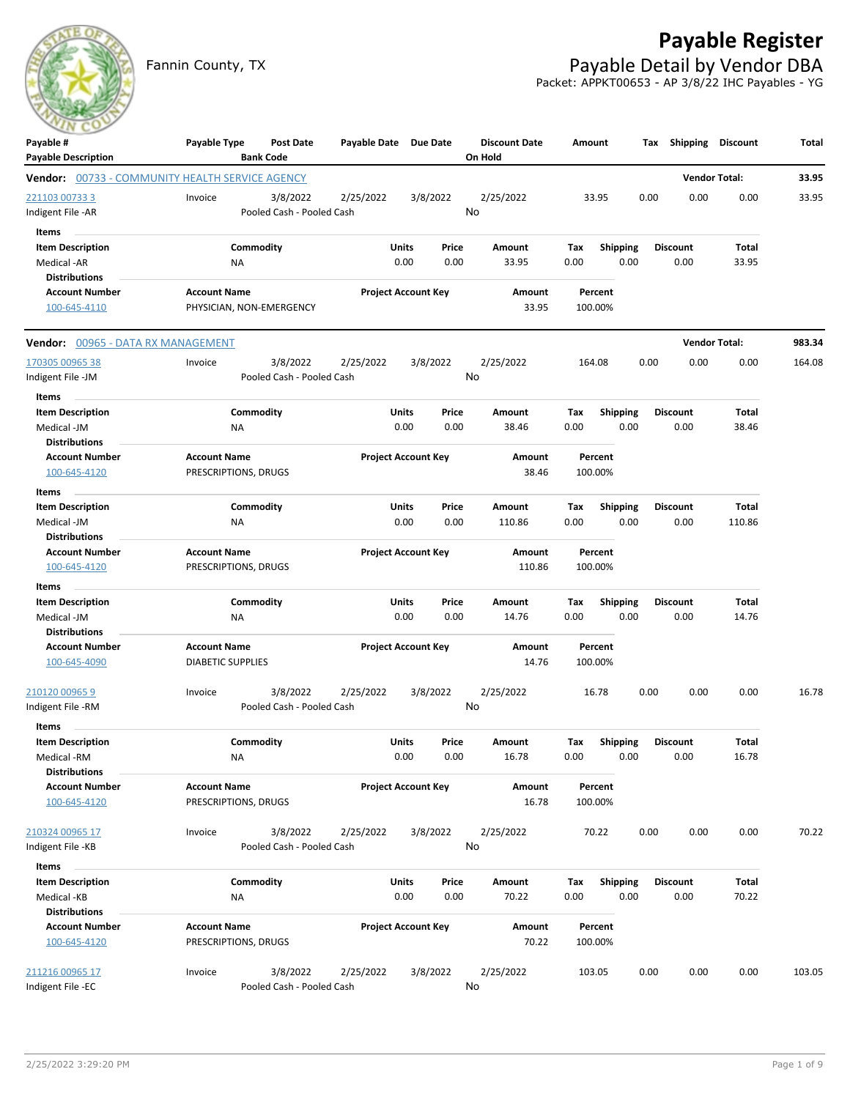

## **Payable Register**

Fannin County, TX **Payable Detail by Vendor DBA** Packet: APPKT00653 - AP 3/8/22 IHC Payables - YG

| Payable #                                                                            | Payable Type             | Post Date                 | Payable Date Due Date |                            | <b>Discount Date</b> | Amount  |                 | Тах  | Shipping        | <b>Discount</b>      | Total  |
|--------------------------------------------------------------------------------------|--------------------------|---------------------------|-----------------------|----------------------------|----------------------|---------|-----------------|------|-----------------|----------------------|--------|
| <b>Payable Description</b><br><b>Vendor:</b> 00733 - COMMUNITY HEALTH SERVICE AGENCY |                          | <b>Bank Code</b>          |                       |                            | On Hold              |         |                 |      |                 | <b>Vendor Total:</b> | 33.95  |
| 221103 00733 3                                                                       | Invoice                  | 3/8/2022                  | 2/25/2022             | 3/8/2022                   | 2/25/2022            | 33.95   |                 | 0.00 | 0.00            | 0.00                 | 33.95  |
| Indigent File -AR                                                                    |                          | Pooled Cash - Pooled Cash |                       |                            | No                   |         |                 |      |                 |                      |        |
| Items                                                                                |                          |                           |                       |                            |                      |         |                 |      |                 |                      |        |
| <b>Item Description</b>                                                              |                          | Commodity                 |                       | Units<br>Price             | Amount               | Тах     | <b>Shipping</b> |      | <b>Discount</b> | Total                |        |
| Medical -AR                                                                          | ΝA                       |                           |                       | 0.00<br>0.00               | 33.95                | 0.00    | 0.00            |      | 0.00            | 33.95                |        |
| <b>Distributions</b>                                                                 |                          |                           |                       |                            |                      |         |                 |      |                 |                      |        |
| <b>Account Number</b>                                                                | <b>Account Name</b>      |                           |                       | <b>Project Account Key</b> | Amount               | Percent |                 |      |                 |                      |        |
| 100-645-4110                                                                         | PHYSICIAN, NON-EMERGENCY |                           |                       |                            | 33.95                | 100.00% |                 |      |                 |                      |        |
| <b>Vendor:</b> 00965 - DATA RX MANAGEMENT                                            |                          |                           |                       |                            |                      |         |                 |      |                 | <b>Vendor Total:</b> | 983.34 |
| 170305 00965 38                                                                      | Invoice                  | 3/8/2022                  | 2/25/2022             | 3/8/2022                   | 2/25/2022            | 164.08  |                 | 0.00 | 0.00            | 0.00                 | 164.08 |
| Indigent File -JM                                                                    |                          | Pooled Cash - Pooled Cash |                       |                            | No                   |         |                 |      |                 |                      |        |
| Items                                                                                |                          |                           |                       |                            |                      |         |                 |      |                 |                      |        |
| <b>Item Description</b>                                                              |                          | Commodity                 |                       | Units<br>Price             | Amount               | Tax     | <b>Shipping</b> |      | <b>Discount</b> | Total                |        |
| Medical -JM                                                                          | ΝA                       |                           |                       | 0.00<br>0.00               | 38.46                | 0.00    | 0.00            |      | 0.00            | 38.46                |        |
| <b>Distributions</b>                                                                 |                          |                           |                       |                            |                      |         |                 |      |                 |                      |        |
| <b>Account Number</b>                                                                | <b>Account Name</b>      |                           |                       | <b>Project Account Key</b> | Amount               | Percent |                 |      |                 |                      |        |
| 100-645-4120                                                                         | PRESCRIPTIONS, DRUGS     |                           |                       |                            | 38.46                | 100.00% |                 |      |                 |                      |        |
| Items                                                                                |                          |                           |                       |                            |                      |         |                 |      |                 |                      |        |
| <b>Item Description</b>                                                              |                          | Commodity                 | Units                 | Price                      | Amount               | Tax     | <b>Shipping</b> |      | <b>Discount</b> | Total                |        |
| Medical -JM                                                                          | <b>NA</b>                |                           |                       | 0.00<br>0.00               | 110.86               | 0.00    | 0.00            |      | 0.00            | 110.86               |        |
| <b>Distributions</b>                                                                 |                          |                           |                       |                            |                      |         |                 |      |                 |                      |        |
| <b>Account Number</b>                                                                | <b>Account Name</b>      |                           |                       | <b>Project Account Key</b> | Amount               | Percent |                 |      |                 |                      |        |
| 100-645-4120                                                                         | PRESCRIPTIONS, DRUGS     |                           |                       |                            | 110.86               | 100.00% |                 |      |                 |                      |        |
| Items                                                                                |                          |                           |                       |                            |                      |         |                 |      |                 |                      |        |
| <b>Item Description</b>                                                              |                          | Commodity                 |                       | Units<br>Price             | Amount               | Tax     | <b>Shipping</b> |      | Discount        | Total                |        |
| Medical -JM                                                                          | ΝA                       |                           |                       | 0.00<br>0.00               | 14.76                | 0.00    | 0.00            |      | 0.00            | 14.76                |        |
| <b>Distributions</b>                                                                 |                          |                           |                       |                            |                      |         |                 |      |                 |                      |        |
| <b>Account Number</b>                                                                | <b>Account Name</b>      |                           |                       | <b>Project Account Key</b> | Amount               | Percent |                 |      |                 |                      |        |
| 100-645-4090                                                                         | <b>DIABETIC SUPPLIES</b> |                           |                       |                            | 14.76                | 100.00% |                 |      |                 |                      |        |
| 210120 00965 9                                                                       | Invoice                  | 3/8/2022                  | 2/25/2022             | 3/8/2022                   | 2/25/2022            | 16.78   |                 | 0.00 | 0.00            | 0.00                 | 16.78  |
| Indigent File -RM                                                                    |                          | Pooled Cash - Pooled Cash |                       |                            | No                   |         |                 |      |                 |                      |        |
| Items                                                                                |                          |                           |                       |                            |                      |         |                 |      |                 |                      |        |
| <b>Item Description</b>                                                              |                          | Commodity                 | Units                 | Price                      | Amount               | Tax     | <b>Shipping</b> |      | <b>Discount</b> | Total                |        |
| Medical -RM                                                                          | NA                       |                           |                       | 0.00<br>0.00               | 16.78                | 0.00    | 0.00            |      | 0.00            | 16.78                |        |
| <b>Distributions</b>                                                                 |                          |                           |                       |                            |                      |         |                 |      |                 |                      |        |
| <b>Account Number</b>                                                                | <b>Account Name</b>      |                           |                       | <b>Project Account Key</b> | Amount               | Percent |                 |      |                 |                      |        |
| 100-645-4120                                                                         | PRESCRIPTIONS, DRUGS     |                           |                       |                            | 16.78                | 100.00% |                 |      |                 |                      |        |
| 210324 00965 17                                                                      | Invoice                  | 3/8/2022                  | 2/25/2022             | 3/8/2022                   | 2/25/2022            | 70.22   |                 | 0.00 | 0.00            | 0.00                 | 70.22  |
| Indigent File -KB                                                                    |                          | Pooled Cash - Pooled Cash |                       |                            | No                   |         |                 |      |                 |                      |        |
| Items                                                                                |                          |                           |                       |                            |                      |         |                 |      |                 |                      |        |
| <b>Item Description</b>                                                              |                          | Commodity                 |                       | Units<br>Price             | Amount               | Tax     | <b>Shipping</b> |      | <b>Discount</b> | Total                |        |
| Medical -KB                                                                          | <b>NA</b>                |                           |                       | 0.00<br>0.00               | 70.22                | 0.00    | 0.00            |      | 0.00            | 70.22                |        |
| <b>Distributions</b>                                                                 |                          |                           |                       |                            |                      |         |                 |      |                 |                      |        |
| <b>Account Number</b>                                                                | <b>Account Name</b>      |                           |                       | <b>Project Account Key</b> | Amount               | Percent |                 |      |                 |                      |        |
| 100-645-4120                                                                         | PRESCRIPTIONS, DRUGS     |                           |                       |                            | 70.22                | 100.00% |                 |      |                 |                      |        |
|                                                                                      |                          |                           |                       |                            |                      |         |                 |      |                 |                      |        |
| 211216 00965 17                                                                      | Invoice                  | 3/8/2022                  | 2/25/2022             | 3/8/2022                   | 2/25/2022            | 103.05  |                 | 0.00 | 0.00            | 0.00                 | 103.05 |
| Indigent File -EC                                                                    |                          | Pooled Cash - Pooled Cash |                       |                            | No                   |         |                 |      |                 |                      |        |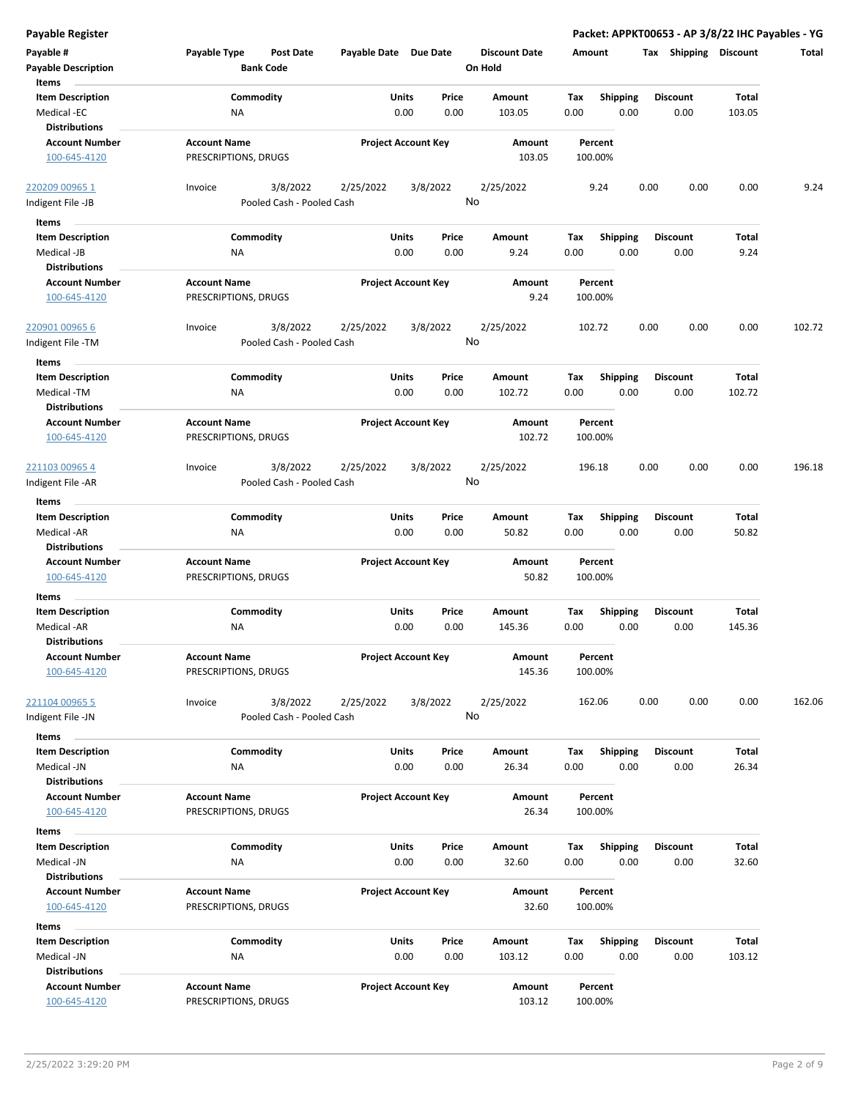| <b>Payable Register</b>                                                 |                                                                           |                             |               |                                 |                                        | Packet: APPKT00653 - AP 3/8/22 IHC Payables - YG |                 |        |
|-------------------------------------------------------------------------|---------------------------------------------------------------------------|-----------------------------|---------------|---------------------------------|----------------------------------------|--------------------------------------------------|-----------------|--------|
| Payable #<br><b>Payable Description</b>                                 | Payable Type<br><b>Post Date</b><br><b>Bank Code</b>                      | Payable Date Due Date       |               | <b>Discount Date</b><br>On Hold | Amount                                 | Tax Shipping Discount                            |                 | Total  |
| Items<br><b>Item Description</b><br>Medical -EC<br><b>Distributions</b> | Commodity<br><b>NA</b>                                                    | Units<br>0.00               | Price<br>0.00 | Amount<br>103.05                | Tax<br><b>Shipping</b><br>0.00<br>0.00 | <b>Discount</b><br>0.00                          | Total<br>103.05 |        |
| <b>Account Number</b><br>100-645-4120                                   | <b>Account Name</b><br>PRESCRIPTIONS, DRUGS                               | <b>Project Account Key</b>  |               | Amount<br>103.05                | Percent<br>100.00%                     |                                                  |                 |        |
| 220209 00965 1<br>Indigent File -JB                                     | 3/8/2022<br>Invoice<br>Pooled Cash - Pooled Cash                          | 2/25/2022                   | 3/8/2022      | 2/25/2022<br>No                 | 9.24                                   | 0.00<br>0.00                                     | 0.00            | 9.24   |
| Items<br><b>Item Description</b><br>Medical -JB<br><b>Distributions</b> | Commodity<br>ΝA                                                           | Units<br>0.00               | Price<br>0.00 | Amount<br>9.24                  | <b>Shipping</b><br>Tax<br>0.00<br>0.00 | <b>Discount</b><br>0.00                          | Total<br>9.24   |        |
| <b>Account Number</b><br>100-645-4120                                   | <b>Account Name</b><br>PRESCRIPTIONS, DRUGS                               | <b>Project Account Key</b>  |               | Amount<br>9.24                  | Percent<br>100.00%                     |                                                  |                 |        |
| 220901 00965 6<br>Indigent File -TM                                     | 3/8/2022<br>Invoice<br>Pooled Cash - Pooled Cash                          | 2/25/2022                   | 3/8/2022      | 2/25/2022<br>No                 | 102.72                                 | 0.00<br>0.00                                     | 0.00            | 102.72 |
| Items<br><b>Item Description</b><br>Medical -TM<br><b>Distributions</b> | Commodity<br><b>NA</b>                                                    | Units<br>0.00               | Price<br>0.00 | Amount<br>102.72                | <b>Shipping</b><br>Tax<br>0.00<br>0.00 | <b>Discount</b><br>0.00                          | Total<br>102.72 |        |
| <b>Account Number</b><br>100-645-4120                                   | <b>Project Account Key</b><br><b>Account Name</b><br>PRESCRIPTIONS, DRUGS |                             |               | Amount<br>102.72                | Percent<br>100.00%                     |                                                  |                 |        |
| 221103 00965 4<br>Indigent File -AR                                     | 3/8/2022<br>Invoice<br>Pooled Cash - Pooled Cash                          | 2/25/2022<br>3/8/2022<br>No |               | 2/25/2022                       | 196.18                                 | 0.00<br>0.00                                     | 0.00            | 196.18 |
| Items<br><b>Item Description</b><br>Medical -AR<br><b>Distributions</b> | Commodity<br><b>NA</b>                                                    | Units<br>0.00               | Price<br>0.00 | Amount<br>50.82                 | <b>Shipping</b><br>Tax<br>0.00<br>0.00 | <b>Discount</b><br>0.00                          | Total<br>50.82  |        |
| <b>Account Number</b><br>100-645-4120                                   | <b>Account Name</b><br>PRESCRIPTIONS, DRUGS                               | <b>Project Account Key</b>  |               | <b>Amount</b><br>50.82          | Percent<br>100.00%                     |                                                  |                 |        |
| Items<br><b>Item Description</b><br>Medical -AR<br><b>Distributions</b> | Commodity<br>ΝA                                                           | Units<br>0.00               | Price<br>0.00 | Amount<br>145.36                | Tax<br><b>Shipping</b><br>0.00<br>0.00 | <b>Discount</b><br>0.00                          | Total<br>145.36 |        |
| <b>Account Number</b><br>100-645-4120                                   | <b>Account Name</b><br>PRESCRIPTIONS, DRUGS                               | <b>Project Account Key</b>  |               | Amount<br>145.36                | Percent<br>100.00%                     |                                                  |                 |        |
| 221104 00965 5<br>Indigent File -JN                                     | 3/8/2022<br>Invoice<br>Pooled Cash - Pooled Cash                          | 2/25/2022                   | 3/8/2022      | 2/25/2022<br>No                 | 162.06                                 | 0.00<br>0.00                                     | 0.00            | 162.06 |
| Items<br><b>Item Description</b><br>Medical -JN<br><b>Distributions</b> | Commodity<br>NA                                                           | Units<br>0.00               | Price<br>0.00 | Amount<br>26.34                 | <b>Shipping</b><br>Tax<br>0.00<br>0.00 | <b>Discount</b><br>0.00                          | Total<br>26.34  |        |
| <b>Account Number</b><br>100-645-4120                                   | <b>Account Name</b><br>PRESCRIPTIONS, DRUGS                               | <b>Project Account Key</b>  |               | Amount<br>26.34                 | Percent<br>100.00%                     |                                                  |                 |        |
| Items<br><b>Item Description</b><br>Medical -JN<br><b>Distributions</b> | Commodity<br>NA                                                           | Units<br>0.00               | Price<br>0.00 | Amount<br>32.60                 | Tax<br><b>Shipping</b><br>0.00<br>0.00 | <b>Discount</b><br>0.00                          | Total<br>32.60  |        |
| <b>Account Number</b><br>100-645-4120                                   | <b>Account Name</b><br>PRESCRIPTIONS, DRUGS                               | <b>Project Account Key</b>  |               | Amount<br>32.60                 | Percent<br>100.00%                     |                                                  |                 |        |
| Items<br><b>Item Description</b><br>Medical -JN<br><b>Distributions</b> | Commodity<br>NA                                                           | Units<br>0.00               | Price<br>0.00 | Amount<br>103.12                | <b>Shipping</b><br>Tax<br>0.00<br>0.00 | <b>Discount</b><br>0.00                          | Total<br>103.12 |        |
| <b>Account Number</b><br>100-645-4120                                   | <b>Account Name</b><br>PRESCRIPTIONS, DRUGS                               | <b>Project Account Key</b>  |               | Amount<br>103.12                | Percent<br>100.00%                     |                                                  |                 |        |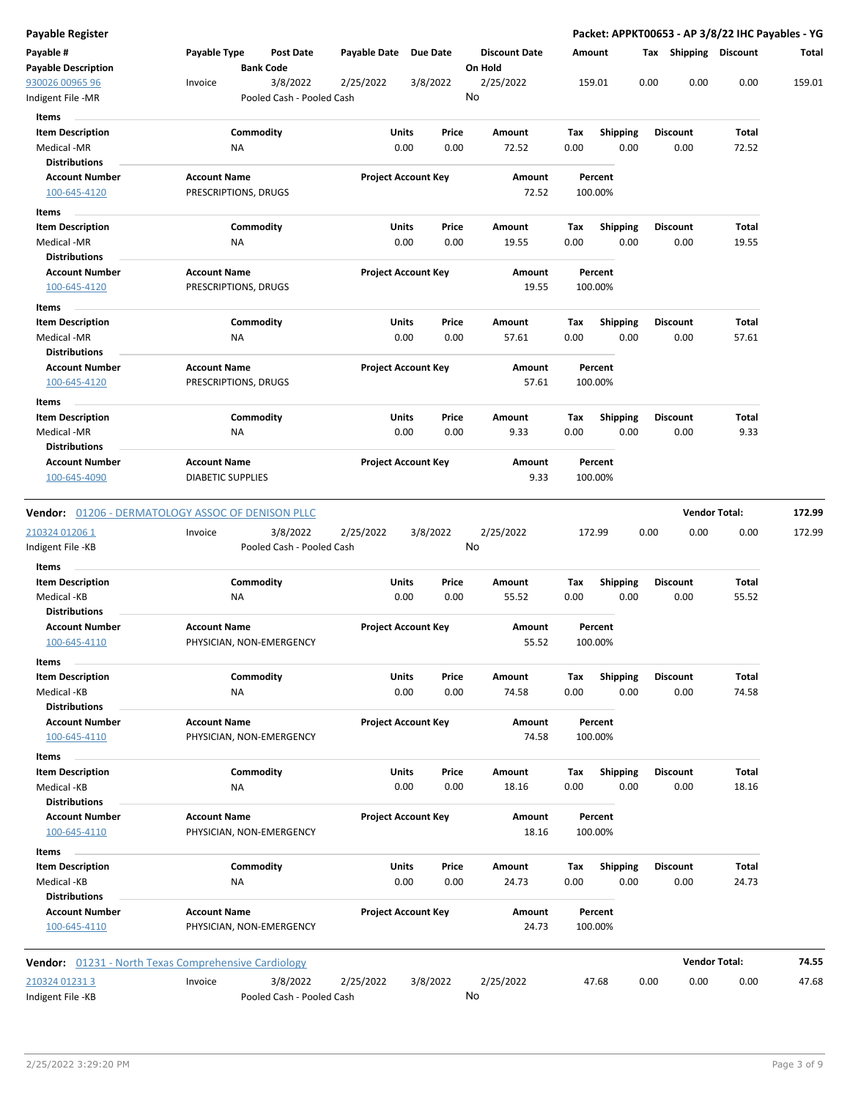| Payable Register                                         |                                                 |                                       |               |                            |                                 |             |                         |      |                         | Packet: APPKT00653 - AP 3/8/22 IHC Payables - YG |        |
|----------------------------------------------------------|-------------------------------------------------|---------------------------------------|---------------|----------------------------|---------------------------------|-------------|-------------------------|------|-------------------------|--------------------------------------------------|--------|
| Payable #<br><b>Payable Description</b>                  | Payable Type<br><b>Bank Code</b>                | <b>Post Date</b>                      | Payable Date  | <b>Due Date</b>            | <b>Discount Date</b><br>On Hold |             | Amount                  |      | Tax Shipping Discount   |                                                  | Total  |
| 930026 00965 96<br>ndigent File -MR                      | Invoice                                         | 3/8/2022<br>Pooled Cash - Pooled Cash | 2/25/2022     | 3/8/2022                   | 2/25/2022<br>No                 |             | 159.01                  | 0.00 | 0.00                    | 0.00                                             | 159.01 |
| Items                                                    |                                                 |                                       |               |                            |                                 |             |                         |      |                         |                                                  |        |
| <b>Item Description</b><br>Medical -MR                   | Commodity<br>ΝA                                 |                                       | Units<br>0.00 | Price<br>0.00              | Amount<br>72.52                 | Tax<br>0.00 | <b>Shipping</b><br>0.00 |      | <b>Discount</b><br>0.00 | Total<br>72.52                                   |        |
| <b>Distributions</b>                                     |                                                 |                                       |               |                            |                                 |             |                         |      |                         |                                                  |        |
| <b>Account Number</b><br>100-645-4120                    | <b>Account Name</b><br>PRESCRIPTIONS, DRUGS     |                                       |               | <b>Project Account Key</b> | Amount<br>72.52                 |             | Percent<br>100.00%      |      |                         |                                                  |        |
| Items                                                    |                                                 |                                       |               |                            |                                 |             |                         |      |                         |                                                  |        |
| <b>Item Description</b>                                  | Commodity                                       |                                       | Units         | Price                      | Amount                          | Tax         | <b>Shipping</b>         |      | <b>Discount</b>         | Total                                            |        |
| Medical -MR                                              | <b>NA</b>                                       |                                       | 0.00          | 0.00                       | 19.55                           | 0.00        | 0.00                    |      | 0.00                    | 19.55                                            |        |
| <b>Distributions</b>                                     |                                                 |                                       |               |                            |                                 |             |                         |      |                         |                                                  |        |
| <b>Account Number</b>                                    | <b>Account Name</b>                             |                                       |               | <b>Project Account Key</b> | Amount                          |             | Percent                 |      |                         |                                                  |        |
| 100-645-4120                                             | PRESCRIPTIONS, DRUGS                            |                                       |               |                            | 19.55                           |             | 100.00%                 |      |                         |                                                  |        |
| Items<br><b>Item Description</b>                         | Commodity                                       |                                       | Units         | Price                      | Amount                          | Тах         | <b>Shipping</b>         |      | <b>Discount</b>         | Total                                            |        |
| Medical -MR                                              | ΝA                                              |                                       | 0.00          | 0.00                       | 57.61                           | 0.00        | 0.00                    |      | 0.00                    | 57.61                                            |        |
| <b>Distributions</b>                                     |                                                 |                                       |               |                            |                                 |             |                         |      |                         |                                                  |        |
| <b>Account Number</b>                                    | <b>Account Name</b>                             |                                       |               | <b>Project Account Key</b> | Amount                          |             | Percent                 |      |                         |                                                  |        |
| 100-645-4120                                             | PRESCRIPTIONS, DRUGS                            |                                       |               |                            | 57.61                           |             | 100.00%                 |      |                         |                                                  |        |
| Items                                                    |                                                 |                                       |               |                            |                                 |             |                         |      |                         |                                                  |        |
| <b>Item Description</b>                                  | Commodity                                       |                                       | Units         | Price                      | Amount                          | Tax         | <b>Shipping</b>         |      | <b>Discount</b>         | Total                                            |        |
| Medical -MR                                              | ΝA                                              |                                       | 0.00          | 0.00                       | 9.33                            | 0.00        | 0.00                    |      | 0.00                    | 9.33                                             |        |
| <b>Distributions</b>                                     |                                                 |                                       |               |                            |                                 |             |                         |      |                         |                                                  |        |
| <b>Account Number</b><br>100-645-4090                    | <b>Account Name</b><br><b>DIABETIC SUPPLIES</b> |                                       |               | <b>Project Account Key</b> | Amount<br>9.33                  |             | Percent<br>100.00%      |      |                         |                                                  |        |
| <b>Vendor:</b> 01206 - DERMATOLOGY ASSOC OF DENISON PLLC |                                                 |                                       |               |                            |                                 |             |                         |      |                         | <b>Vendor Total:</b>                             | 172.99 |
| 210324 01206 1                                           | Invoice                                         | 3/8/2022                              | 2/25/2022     | 3/8/2022                   | 2/25/2022                       |             | 172.99                  | 0.00 | 0.00                    | 0.00                                             | 172.99 |
| Indigent File -KB                                        |                                                 | Pooled Cash - Pooled Cash             |               |                            | No                              |             |                         |      |                         |                                                  |        |
| Items                                                    |                                                 |                                       |               |                            |                                 |             |                         |      |                         |                                                  |        |
| <b>Item Description</b>                                  | Commodity                                       |                                       | Units         | Price                      | Amount                          | Тах         | <b>Shipping</b>         |      | <b>Discount</b>         | Total                                            |        |
| Medical -KB                                              | ΝA                                              |                                       | 0.00          | 0.00                       | 55.52                           | 0.00        | 0.00                    |      | 0.00                    | 55.52                                            |        |
| <b>Distributions</b>                                     |                                                 |                                       |               |                            |                                 |             |                         |      |                         |                                                  |        |
| <b>Account Number</b><br>100-645-4110                    | <b>Account Name</b><br>PHYSICIAN, NON-EMERGENCY |                                       |               | <b>Project Account Key</b> | Amount<br>55.52                 |             | Percent<br>100.00%      |      |                         |                                                  |        |
| Items                                                    |                                                 |                                       |               |                            |                                 |             |                         |      |                         |                                                  |        |
| <b>Item Description</b>                                  | Commodity                                       |                                       | Units         | Price                      | Amount                          | Tax         | <b>Shipping</b>         |      | <b>Discount</b>         | Total                                            |        |
| Medical -KB                                              | NA                                              |                                       | 0.00          | 0.00                       | 74.58                           | 0.00        | 0.00                    |      | 0.00                    | 74.58                                            |        |
| <b>Distributions</b>                                     |                                                 |                                       |               |                            |                                 |             |                         |      |                         |                                                  |        |
| <b>Account Number</b>                                    | <b>Account Name</b>                             |                                       |               | <b>Project Account Key</b> | Amount                          |             | Percent                 |      |                         |                                                  |        |
| 100-645-4110                                             | PHYSICIAN, NON-EMERGENCY                        |                                       |               |                            | 74.58                           |             | 100.00%                 |      |                         |                                                  |        |
| Items                                                    |                                                 |                                       |               |                            |                                 |             |                         |      |                         |                                                  |        |
| <b>Item Description</b>                                  | Commodity                                       |                                       | Units         | Price                      | <b>Amount</b>                   | Tax         | <b>Shipping</b>         |      | <b>Discount</b>         | Total                                            |        |
| Medical -KB<br><b>Distributions</b>                      | <b>NA</b>                                       |                                       | 0.00          | 0.00                       | 18.16                           | 0.00        | 0.00                    |      | 0.00                    | 18.16                                            |        |
| <b>Account Number</b>                                    | <b>Account Name</b>                             |                                       |               | <b>Project Account Key</b> | Amount                          |             | Percent                 |      |                         |                                                  |        |
| 100-645-4110                                             | PHYSICIAN, NON-EMERGENCY                        |                                       |               |                            | 18.16                           |             | 100.00%                 |      |                         |                                                  |        |
| Items                                                    |                                                 |                                       |               |                            |                                 |             |                         |      |                         |                                                  |        |
| <b>Item Description</b>                                  | Commodity                                       |                                       | Units         | Price                      | Amount                          | Tax         | <b>Shipping</b>         |      | <b>Discount</b>         | Total                                            |        |
| Medical -KB                                              | ΝA                                              |                                       | 0.00          | 0.00                       | 24.73                           | 0.00        | 0.00                    |      | 0.00                    | 24.73                                            |        |
| <b>Distributions</b>                                     |                                                 |                                       |               |                            |                                 |             |                         |      |                         |                                                  |        |
| <b>Account Number</b>                                    | <b>Account Name</b>                             |                                       |               | <b>Project Account Key</b> | Amount                          |             | Percent                 |      |                         |                                                  |        |
| 100-645-4110                                             | PHYSICIAN, NON-EMERGENCY                        |                                       |               |                            | 24.73                           |             | 100.00%                 |      |                         |                                                  |        |
| Vendor: 01231 - North Texas Comprehensive Cardiology     |                                                 |                                       |               |                            |                                 |             |                         |      |                         | <b>Vendor Total:</b>                             | 74.55  |
| 210324 01231 3                                           | Invoice                                         | 3/8/2022                              | 2/25/2022     | 3/8/2022                   | 2/25/2022                       |             | 47.68                   | 0.00 | 0.00                    | 0.00                                             | 47.68  |
| Indigent File -KB                                        |                                                 | Pooled Cash - Pooled Cash             |               |                            | No                              |             |                         |      |                         |                                                  |        |

 $\overline{a}$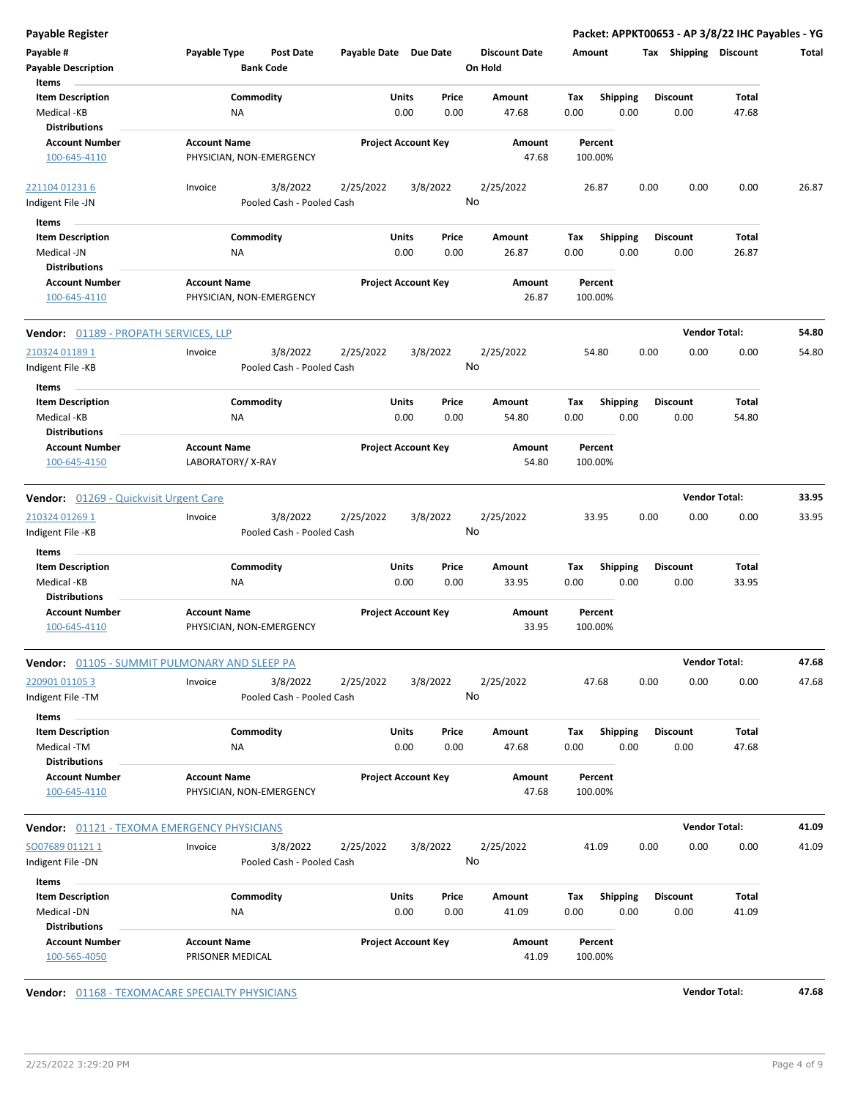| <b>Payable Register</b>                       |                                                  |                            |               |                                 |                                        | Packet: APPKT00653 - AP 3/8/22 IHC Payables - YG |                      |       |
|-----------------------------------------------|--------------------------------------------------|----------------------------|---------------|---------------------------------|----------------------------------------|--------------------------------------------------|----------------------|-------|
| Payable #<br><b>Payable Description</b>       | Payable Type<br>Post Date<br><b>Bank Code</b>    | Payable Date Due Date      |               | <b>Discount Date</b><br>On Hold | Amount                                 | Tax Shipping Discount                            |                      | Total |
| Items                                         |                                                  |                            |               |                                 |                                        |                                                  |                      |       |
| <b>Item Description</b><br>Medical -KB        | Commodity<br><b>NA</b>                           | Units<br>0.00              | Price<br>0.00 | Amount<br>47.68                 | Shipping<br>Tax<br>0.00<br>0.00        | <b>Discount</b><br>0.00                          | Total<br>47.68       |       |
| <b>Distributions</b>                          |                                                  |                            |               |                                 |                                        |                                                  |                      |       |
| <b>Account Number</b>                         | <b>Account Name</b>                              | <b>Project Account Key</b> |               | Amount                          | Percent                                |                                                  |                      |       |
| 100-645-4110                                  | PHYSICIAN, NON-EMERGENCY                         |                            |               | 47.68                           | 100.00%                                |                                                  |                      |       |
| 221104 01231 6                                | 3/8/2022<br>Invoice<br>Pooled Cash - Pooled Cash | 2/25/2022                  | 3/8/2022      | 2/25/2022<br>No                 | 26.87                                  | 0.00<br>0.00                                     | 0.00                 | 26.87 |
| Indigent File -JN                             |                                                  |                            |               |                                 |                                        |                                                  |                      |       |
| Items                                         |                                                  |                            |               |                                 |                                        |                                                  |                      |       |
| <b>Item Description</b><br>Medical -JN        | Commodity<br>NA                                  | Units<br>0.00              | Price<br>0.00 | Amount<br>26.87                 | <b>Shipping</b><br>Tax<br>0.00<br>0.00 | <b>Discount</b><br>0.00                          | Total<br>26.87       |       |
| <b>Distributions</b>                          |                                                  |                            |               |                                 |                                        |                                                  |                      |       |
| <b>Account Number</b>                         | <b>Account Name</b>                              | <b>Project Account Key</b> |               | Amount                          | Percent                                |                                                  |                      |       |
| 100-645-4110                                  | PHYSICIAN, NON-EMERGENCY                         |                            |               | 26.87                           | 100.00%                                |                                                  |                      |       |
| Vendor: 01189 - PROPATH SERVICES, LLP         |                                                  |                            |               |                                 |                                        |                                                  | <b>Vendor Total:</b> | 54.80 |
| 210324 01189 1                                | 3/8/2022<br>Invoice                              | 2/25/2022                  | 3/8/2022      | 2/25/2022                       | 54.80                                  | 0.00<br>0.00                                     | 0.00                 | 54.80 |
| Indigent File -KB                             | Pooled Cash - Pooled Cash                        |                            |               | No                              |                                        |                                                  |                      |       |
| Items                                         |                                                  |                            |               |                                 |                                        |                                                  |                      |       |
| <b>Item Description</b>                       | Commodity                                        | Units                      | Price         | Amount                          | <b>Shipping</b><br>Tax                 | <b>Discount</b>                                  | Total                |       |
| Medical -KB                                   | NA                                               | 0.00                       | 0.00          | 54.80                           | 0.00<br>0.00                           | 0.00                                             | 54.80                |       |
| <b>Distributions</b>                          |                                                  |                            |               |                                 |                                        |                                                  |                      |       |
| <b>Account Number</b>                         | <b>Account Name</b>                              | <b>Project Account Key</b> |               | Amount                          | Percent                                |                                                  |                      |       |
| 100-645-4150                                  | LABORATORY/X-RAY                                 |                            |               | 54.80                           | 100.00%                                |                                                  |                      |       |
| <b>Vendor:</b> 01269 - Quickvisit Urgent Care |                                                  |                            |               |                                 |                                        |                                                  | <b>Vendor Total:</b> | 33.95 |
| 210324 01269 1                                | Invoice<br>3/8/2022                              | 2/25/2022                  | 3/8/2022      | 2/25/2022                       | 33.95                                  | 0.00<br>0.00                                     | 0.00                 | 33.95 |
| Indigent File -KB                             | Pooled Cash - Pooled Cash                        |                            |               | No                              |                                        |                                                  |                      |       |
| Items                                         |                                                  |                            |               |                                 |                                        |                                                  |                      |       |
| <b>Item Description</b>                       | Commodity                                        | Units<br>0.00              | Price<br>0.00 | Amount                          | <b>Shipping</b><br>Tax<br>0.00         | <b>Discount</b><br>0.00                          | Total                |       |
| Medical -KB<br><b>Distributions</b>           | <b>NA</b>                                        |                            |               | 33.95                           | 0.00                                   |                                                  | 33.95                |       |
| <b>Account Number</b>                         | <b>Account Name</b>                              | <b>Project Account Key</b> |               | Amount                          | Percent                                |                                                  |                      |       |
| 100-645-4110                                  | PHYSICIAN, NON-EMERGENCY                         |                            |               | 33.95                           | 100.00%                                |                                                  |                      |       |
|                                               | Vendor: 01105 - SUMMIT PULMONARY AND SLEEP PA    |                            |               |                                 |                                        |                                                  | <b>Vendor Total:</b> | 47.68 |
|                                               |                                                  |                            |               |                                 | 47.68                                  | 0.00<br>0.00                                     | 0.00                 | 47.68 |
| 220901 01105 3<br>Indigent File -TM           | 3/8/2022<br>Invoice<br>Pooled Cash - Pooled Cash | 2/25/2022                  | 3/8/2022      | 2/25/2022<br>No                 |                                        |                                                  |                      |       |
|                                               |                                                  |                            |               |                                 |                                        |                                                  |                      |       |
| Items                                         |                                                  |                            |               |                                 |                                        |                                                  |                      |       |
| <b>Item Description</b><br>Medical -TM        | Commodity                                        | Units<br>0.00              | Price<br>0.00 | Amount<br>47.68                 | <b>Shipping</b><br>Tax<br>0.00<br>0.00 | <b>Discount</b><br>0.00                          | Total<br>47.68       |       |
| <b>Distributions</b>                          | ΝA                                               |                            |               |                                 |                                        |                                                  |                      |       |
| <b>Account Number</b>                         | <b>Account Name</b>                              | <b>Project Account Key</b> |               | Amount                          | Percent                                |                                                  |                      |       |
| 100-645-4110                                  | PHYSICIAN, NON-EMERGENCY                         |                            |               | 47.68                           | 100.00%                                |                                                  |                      |       |
|                                               |                                                  |                            |               |                                 |                                        |                                                  |                      |       |
|                                               | Vendor: 01121 - TEXOMA EMERGENCY PHYSICIANS      |                            |               |                                 |                                        |                                                  | <b>Vendor Total:</b> | 41.09 |
| SO07689 01121 1                               | 3/8/2022<br>Invoice                              | 2/25/2022                  | 3/8/2022      | 2/25/2022                       | 41.09                                  | 0.00<br>0.00                                     | 0.00                 | 41.09 |
| Indigent File -DN                             | Pooled Cash - Pooled Cash                        |                            |               | No                              |                                        |                                                  |                      |       |
| Items                                         |                                                  |                            |               |                                 |                                        |                                                  |                      |       |
| <b>Item Description</b>                       | Commodity                                        | Units                      | Price         | Amount                          | <b>Shipping</b><br>Tax                 | <b>Discount</b>                                  | Total                |       |
| Medical -DN                                   | NA                                               | 0.00                       | 0.00          | 41.09                           | 0.00<br>0.00                           | 0.00                                             | 41.09                |       |
| <b>Distributions</b>                          |                                                  |                            |               |                                 |                                        |                                                  |                      |       |
| <b>Account Number</b><br>100-565-4050         | <b>Account Name</b><br>PRISONER MEDICAL          | <b>Project Account Key</b> |               | Amount<br>41.09                 | Percent<br>100.00%                     |                                                  |                      |       |
|                                               |                                                  |                            |               |                                 |                                        |                                                  |                      |       |

**Vendor:**  $\underline{01168}$  - TEXOMACARE SPECIALTY PHYSICIANS **47.68**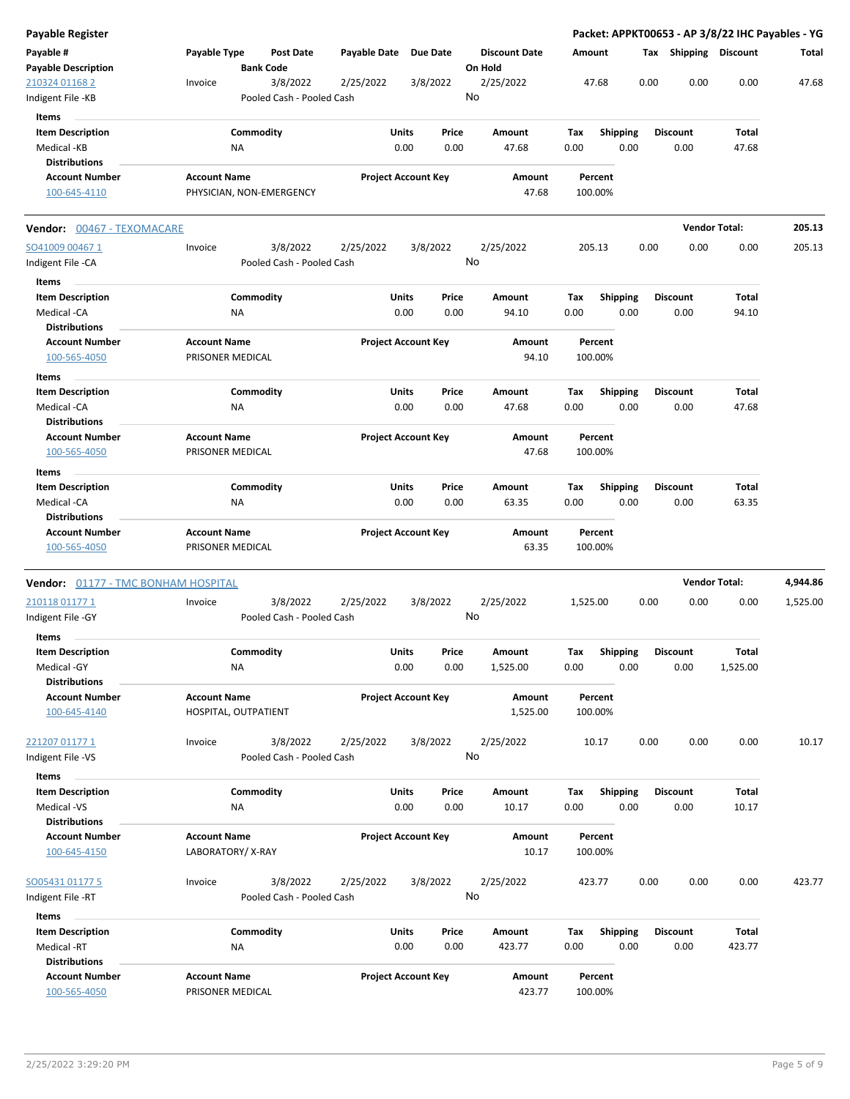| Payable Register                           |                                         |                                       |                       |                            |                                 |             |                         |      |                       | Packet: APPKT00653 - AP 3/8/22 IHC Payables - YG |          |
|--------------------------------------------|-----------------------------------------|---------------------------------------|-----------------------|----------------------------|---------------------------------|-------------|-------------------------|------|-----------------------|--------------------------------------------------|----------|
| Payable #<br><b>Payable Description</b>    | Payable Type                            | <b>Post Date</b><br><b>Bank Code</b>  | Payable Date Due Date |                            | <b>Discount Date</b><br>On Hold | Amount      |                         |      | Tax Shipping Discount |                                                  | Total    |
| 210324 01168 2<br>Indigent File -KB        | Invoice                                 | 3/8/2022<br>Pooled Cash - Pooled Cash | 2/25/2022             | 3/8/2022                   | 2/25/2022<br>No                 |             | 47.68                   | 0.00 | 0.00                  | 0.00                                             | 47.68    |
| Items                                      |                                         |                                       |                       |                            |                                 |             |                         |      |                       |                                                  |          |
| <b>Item Description</b><br>Medical -KB     | ΝA                                      | Commodity                             | Units<br>0.00         | Price<br>0.00              | Amount<br>47.68                 | Tax<br>0.00 | Shipping<br>0.00        |      | Discount<br>0.00      | Total<br>47.68                                   |          |
| <b>Distributions</b>                       |                                         |                                       |                       |                            |                                 |             |                         |      |                       |                                                  |          |
| <b>Account Number</b><br>100-645-4110      | <b>Account Name</b>                     | PHYSICIAN, NON-EMERGENCY              |                       | <b>Project Account Key</b> | Amount<br>47.68                 |             | Percent<br>100.00%      |      |                       |                                                  |          |
| <b>Vendor:</b> 00467 - TEXOMACARE          |                                         |                                       |                       |                            |                                 |             |                         |      |                       | <b>Vendor Total:</b>                             | 205.13   |
| SO41009 004671                             | Invoice                                 | 3/8/2022                              | 2/25/2022             | 3/8/2022                   | 2/25/2022                       |             | 205.13                  | 0.00 | 0.00                  | 0.00                                             | 205.13   |
| Indigent File -CA                          |                                         | Pooled Cash - Pooled Cash             |                       |                            | No                              |             |                         |      |                       |                                                  |          |
| Items                                      |                                         |                                       |                       |                            |                                 |             |                         |      |                       |                                                  |          |
| <b>Item Description</b><br>Medical -CA     | ΝA                                      | Commodity                             | Units<br>0.00         | Price<br>0.00              | Amount<br>94.10                 | Tax<br>0.00 | <b>Shipping</b><br>0.00 |      | Discount<br>0.00      | Total<br>94.10                                   |          |
| Distributions                              |                                         |                                       |                       |                            |                                 |             |                         |      |                       |                                                  |          |
| <b>Account Number</b><br>100-565-4050      | <b>Account Name</b><br>PRISONER MEDICAL |                                       |                       | <b>Project Account Key</b> | Amount<br>94.10                 |             | Percent<br>100.00%      |      |                       |                                                  |          |
| Items                                      |                                         |                                       |                       |                            |                                 |             |                         |      |                       |                                                  |          |
| <b>Item Description</b>                    |                                         | Commodity                             | Units                 | Price                      | Amount                          | Tax         | <b>Shipping</b>         |      | Discount              | Total                                            |          |
| Medical -CA                                | ΝA                                      |                                       | 0.00                  | 0.00                       | 47.68                           | 0.00        | 0.00                    |      | 0.00                  | 47.68                                            |          |
| <b>Distributions</b>                       |                                         |                                       |                       |                            |                                 |             |                         |      |                       |                                                  |          |
| <b>Account Number</b>                      | <b>Account Name</b>                     |                                       |                       | <b>Project Account Key</b> | Amount                          |             | Percent                 |      |                       |                                                  |          |
| 100-565-4050<br>Items                      | PRISONER MEDICAL                        |                                       |                       |                            | 47.68                           |             | 100.00%                 |      |                       |                                                  |          |
| <b>Item Description</b>                    |                                         | Commodity                             | Units                 | Price                      | Amount                          | Tax         | <b>Shipping</b>         |      | <b>Discount</b>       | Total                                            |          |
| Medical -CA                                | ΝA                                      |                                       | 0.00                  | 0.00                       | 63.35                           | 0.00        | 0.00                    |      | 0.00                  | 63.35                                            |          |
| <b>Distributions</b>                       |                                         |                                       |                       |                            |                                 |             |                         |      |                       |                                                  |          |
| <b>Account Number</b>                      | <b>Account Name</b>                     |                                       |                       | <b>Project Account Key</b> | Amount                          |             | Percent                 |      |                       |                                                  |          |
| 100-565-4050                               | PRISONER MEDICAL                        |                                       |                       |                            | 63.35                           |             | 100.00%                 |      |                       |                                                  |          |
| <b>Vendor:</b> 01177 - TMC BONHAM HOSPITAL |                                         |                                       |                       |                            |                                 |             |                         |      |                       | <b>Vendor Total:</b>                             | 4,944.86 |
| 210118 01177 1                             | Invoice                                 | 3/8/2022                              | 2/25/2022             | 3/8/2022                   | 2/25/2022                       | 1,525.00    |                         | 0.00 | 0.00                  | 0.00                                             | 1,525.00 |
| ndigent File -GY<br>Items                  |                                         | Pooled Cash - Pooled Cash             |                       |                            | No                              |             |                         |      |                       |                                                  |          |
| <b>Item Description</b>                    |                                         |                                       |                       |                            |                                 |             |                         |      | Discount              |                                                  |          |
| Medical -GY                                | NA                                      | Commodity                             | Units<br>0.00         | Price<br>0.00              | Amount<br>1,525.00              | Tax<br>0.00 | <b>Shipping</b><br>0.00 |      | 0.00                  | Total<br>1,525.00                                |          |
| <b>Distributions</b>                       |                                         |                                       |                       |                            |                                 |             |                         |      |                       |                                                  |          |
| <b>Account Number</b>                      | <b>Account Name</b>                     |                                       |                       | <b>Project Account Key</b> | Amount                          |             | Percent                 |      |                       |                                                  |          |
| 100-645-4140                               | HOSPITAL, OUTPATIENT                    |                                       |                       |                            | 1,525.00                        |             | 100.00%                 |      |                       |                                                  |          |
| <u>221207 01177 1</u>                      | Invoice                                 | 3/8/2022                              | 2/25/2022             | 3/8/2022                   | 2/25/2022                       |             | 10.17                   | 0.00 | 0.00                  | 0.00                                             | 10.17    |
| ndigent File -VS                           |                                         | Pooled Cash - Pooled Cash             |                       |                            | No                              |             |                         |      |                       |                                                  |          |
| Items                                      |                                         |                                       |                       |                            |                                 |             |                         |      |                       |                                                  |          |
| <b>Item Description</b>                    |                                         | Commodity                             | Units                 | Price                      | Amount                          | Tax         | Shipping                |      | <b>Discount</b>       | Total                                            |          |
| Medical -VS<br><b>Distributions</b>        | NA                                      |                                       |                       | 0.00<br>0.00               | 10.17                           | 0.00        | 0.00                    |      | 0.00                  | 10.17                                            |          |
| <b>Account Number</b>                      | <b>Account Name</b>                     |                                       |                       | <b>Project Account Key</b> | Amount                          |             | Percent                 |      |                       |                                                  |          |
| 100-645-4150                               | LABORATORY/X-RAY                        |                                       |                       |                            | 10.17                           |             | 100.00%                 |      |                       |                                                  |          |
| SO05431 01177 5                            | Invoice                                 | 3/8/2022                              | 2/25/2022             | 3/8/2022                   | 2/25/2022                       |             | 423.77                  | 0.00 | 0.00                  | 0.00                                             | 423.77   |
| Indigent File -RT                          |                                         | Pooled Cash - Pooled Cash             |                       |                            | No                              |             |                         |      |                       |                                                  |          |
| Items                                      |                                         |                                       |                       |                            |                                 |             |                         |      |                       |                                                  |          |
| <b>Item Description</b>                    |                                         | Commodity                             | Units                 | Price                      | Amount                          | Tax         | <b>Shipping</b>         |      | <b>Discount</b>       | Total                                            |          |
| Medical -RT                                | ΝA                                      |                                       | 0.00                  | 0.00                       | 423.77                          | 0.00        | 0.00                    |      | 0.00                  | 423.77                                           |          |
| <b>Distributions</b>                       |                                         |                                       |                       |                            |                                 |             |                         |      |                       |                                                  |          |
| <b>Account Number</b>                      | <b>Account Name</b>                     |                                       |                       | <b>Project Account Key</b> | Amount                          |             | Percent                 |      |                       |                                                  |          |
| 100-565-4050                               | PRISONER MEDICAL                        |                                       |                       |                            | 423.77                          |             | 100.00%                 |      |                       |                                                  |          |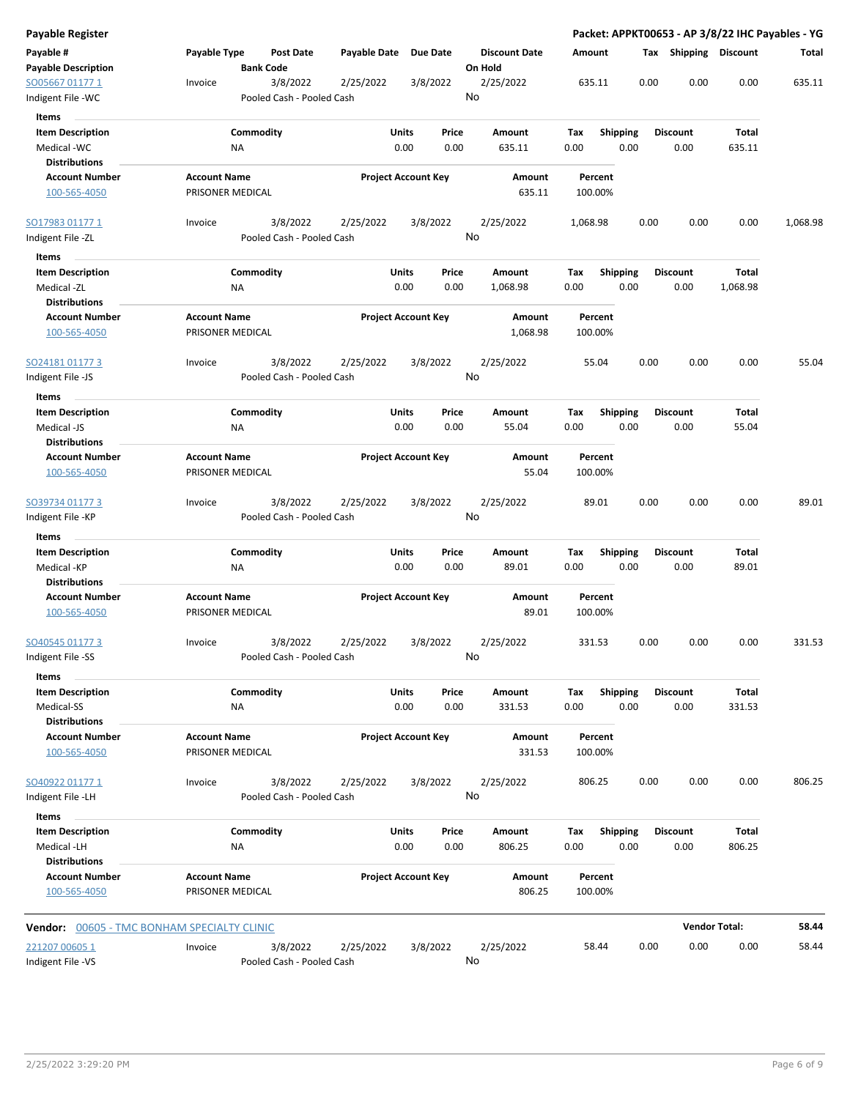| Payable Register                            |                                               |                                        |                            |                                 |                    |                 |                       | Packet: APPKT00653 - AP 3/8/22 IHC Payables - YG |          |
|---------------------------------------------|-----------------------------------------------|----------------------------------------|----------------------------|---------------------------------|--------------------|-----------------|-----------------------|--------------------------------------------------|----------|
| Payable #<br><b>Payable Description</b>     | Payable Type<br>Post Date<br><b>Bank Code</b> | Payable Date Due Date                  |                            | <b>Discount Date</b><br>On Hold | Amount             |                 | Tax Shipping Discount |                                                  | Total    |
| SO05667 01177 1<br>Indigent File -WC        | 3/8/2022<br>Invoice                           | 2/25/2022<br>Pooled Cash - Pooled Cash | 3/8/2022                   | 2/25/2022<br>No                 | 635.11             | 0.00            | 0.00                  | 0.00                                             | 635.11   |
| Items                                       |                                               |                                        |                            |                                 |                    |                 |                       |                                                  |          |
| <b>Item Description</b>                     | Commodity                                     |                                        | Units<br>Price             | Amount                          | Tax                | <b>Shipping</b> | <b>Discount</b>       | Total                                            |          |
| Medical -WC                                 | <b>NA</b>                                     |                                        | 0.00<br>0.00               | 635.11                          | 0.00               | 0.00            | 0.00                  | 635.11                                           |          |
| <b>Distributions</b>                        |                                               |                                        |                            |                                 |                    |                 |                       |                                                  |          |
| <b>Account Number</b>                       | <b>Account Name</b>                           |                                        | <b>Project Account Key</b> | Amount                          | Percent            |                 |                       |                                                  |          |
| 100-565-4050                                | PRISONER MEDICAL                              |                                        |                            | 635.11                          | 100.00%            |                 |                       |                                                  |          |
| SO17983 01177 1                             | 3/8/2022<br>Invoice                           | 2/25/2022                              | 3/8/2022                   | 2/25/2022                       | 1,068.98           | 0.00            | 0.00                  | 0.00                                             | 1,068.98 |
| Indigent File -ZL                           |                                               | Pooled Cash - Pooled Cash              |                            | No                              |                    |                 |                       |                                                  |          |
| Items                                       |                                               |                                        |                            |                                 |                    |                 |                       |                                                  |          |
| <b>Item Description</b>                     | Commodity                                     |                                        | Units<br>Price             | Amount                          | Tax                | <b>Shipping</b> | <b>Discount</b>       | Total                                            |          |
| Medical -ZL                                 | ΝA                                            |                                        | 0.00<br>0.00               | 1,068.98                        | 0.00               | 0.00            | 0.00                  | 1,068.98                                         |          |
| <b>Distributions</b>                        |                                               |                                        |                            |                                 |                    |                 |                       |                                                  |          |
| <b>Account Number</b><br>100-565-4050       | <b>Account Name</b><br>PRISONER MEDICAL       |                                        | <b>Project Account Key</b> | Amount<br>1,068.98              | Percent<br>100.00% |                 |                       |                                                  |          |
| SO24181 01177 3                             | 3/8/2022<br>Invoice                           | 2/25/2022                              | 3/8/2022                   | 2/25/2022                       | 55.04              | 0.00            | 0.00                  | 0.00                                             | 55.04    |
| Indigent File -JS                           |                                               | Pooled Cash - Pooled Cash              |                            | No                              |                    |                 |                       |                                                  |          |
| Items                                       |                                               |                                        |                            |                                 |                    |                 |                       |                                                  |          |
| <b>Item Description</b>                     | Commodity                                     |                                        | Units<br>Price             | Amount                          | Tax                | <b>Shipping</b> | <b>Discount</b>       | Total                                            |          |
| Medical -JS                                 | ΝA                                            |                                        | 0.00<br>0.00               | 55.04                           | 0.00               | 0.00            | 0.00                  | 55.04                                            |          |
| <b>Distributions</b>                        |                                               |                                        |                            |                                 |                    |                 |                       |                                                  |          |
| <b>Account Number</b>                       | <b>Account Name</b>                           |                                        | <b>Project Account Key</b> | Amount                          | Percent            |                 |                       |                                                  |          |
| 100-565-4050                                | PRISONER MEDICAL                              |                                        |                            | 55.04                           | 100.00%            |                 |                       |                                                  |          |
|                                             |                                               |                                        |                            |                                 |                    |                 |                       |                                                  |          |
| SO39734 01177 3                             | 3/8/2022<br>Invoice                           | 2/25/2022                              | 3/8/2022                   | 2/25/2022                       | 89.01              | 0.00            | 0.00                  | 0.00                                             | 89.01    |
| Indigent File -KP                           |                                               | Pooled Cash - Pooled Cash              |                            | No                              |                    |                 |                       |                                                  |          |
| Items                                       |                                               |                                        |                            |                                 |                    |                 |                       |                                                  |          |
| <b>Item Description</b>                     | Commodity                                     |                                        | Units<br>Price             | Amount                          | Tax                | <b>Shipping</b> | <b>Discount</b>       | Total                                            |          |
| Medical -KP                                 | ΝA                                            |                                        | 0.00<br>0.00               | 89.01                           | 0.00               | 0.00            | 0.00                  | 89.01                                            |          |
| <b>Distributions</b>                        |                                               |                                        |                            |                                 |                    |                 |                       |                                                  |          |
| <b>Account Number</b><br>100-565-4050       | <b>Account Name</b><br>PRISONER MEDICAL       |                                        | <b>Project Account Key</b> | Amount<br>89.01                 | Percent<br>100.00% |                 |                       |                                                  |          |
| SO40545 01177 3                             | 3/8/2022<br>Invoice                           | 2/25/2022                              | 3/8/2022                   | 2/25/2022                       | 331.53             | 0.00            | 0.00                  | 0.00                                             | 331.53   |
| Indigent File -SS                           |                                               | Pooled Cash - Pooled Cash              |                            | No                              |                    |                 |                       |                                                  |          |
| Items                                       |                                               |                                        |                            |                                 |                    |                 |                       |                                                  |          |
| <b>Item Description</b>                     | Commodity                                     |                                        | Units<br>Price             | Amount                          | Tax                | <b>Shipping</b> | <b>Discount</b>       | Total                                            |          |
| Medical-SS                                  | <b>NA</b>                                     |                                        | 0.00<br>0.00               | 331.53                          | 0.00               | 0.00            | 0.00                  | 331.53                                           |          |
| <b>Distributions</b>                        |                                               |                                        |                            |                                 |                    |                 |                       |                                                  |          |
| <b>Account Number</b><br>100-565-4050       | <b>Account Name</b><br>PRISONER MEDICAL       |                                        | <b>Project Account Key</b> | Amount<br>331.53                | Percent<br>100.00% |                 |                       |                                                  |          |
| SO40922 01177 1                             | 3/8/2022<br>Invoice                           | 2/25/2022                              | 3/8/2022                   | 2/25/2022                       | 806.25             | 0.00            | 0.00                  | 0.00                                             | 806.25   |
| Indigent File -LH                           |                                               | Pooled Cash - Pooled Cash              |                            | No                              |                    |                 |                       |                                                  |          |
| Items                                       |                                               |                                        |                            |                                 |                    |                 |                       |                                                  |          |
| <b>Item Description</b>                     | Commodity                                     |                                        | Units<br>Price             | Amount                          | Tax                | <b>Shipping</b> | <b>Discount</b>       | Total                                            |          |
| Medical -LH                                 | <b>NA</b>                                     |                                        | 0.00<br>0.00               | 806.25                          | 0.00               | 0.00            | 0.00                  | 806.25                                           |          |
| <b>Distributions</b>                        |                                               |                                        |                            |                                 |                    |                 |                       |                                                  |          |
| <b>Account Number</b>                       | <b>Account Name</b>                           |                                        | <b>Project Account Key</b> | Amount                          | Percent            |                 |                       |                                                  |          |
| 100-565-4050                                | PRISONER MEDICAL                              |                                        |                            | 806.25                          | 100.00%            |                 |                       |                                                  |          |
| Vendor: 00605 - TMC BONHAM SPECIALTY CLINIC |                                               |                                        |                            |                                 |                    |                 |                       | <b>Vendor Total:</b>                             | 58.44    |
| 221207 00605 1                              | 3/8/2022<br>Invoice                           | 2/25/2022                              | 3/8/2022                   | 2/25/2022                       | 58.44              | 0.00            | 0.00                  | 0.00                                             | 58.44    |
| Indigent File -VS                           |                                               | Pooled Cash - Pooled Cash              |                            | No                              |                    |                 |                       |                                                  |          |
|                                             |                                               |                                        |                            |                                 |                    |                 |                       |                                                  |          |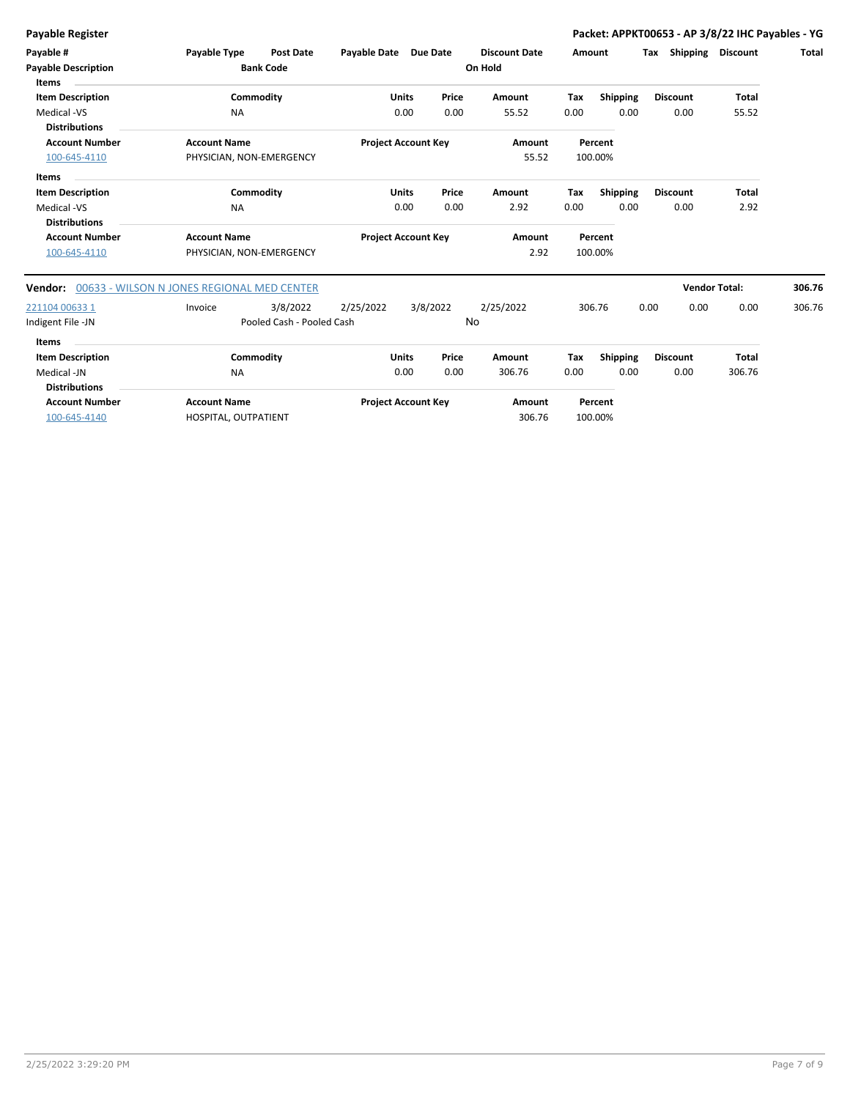**Payable Register Packet: APPKT00653 - AP 3/8/22 IHC Payables - YG**

| Payable #<br><b>Payable Description</b><br>Items               | Payable Type                                    | <b>Post Date</b><br><b>Bank Code</b>  | Payable Date Due Date      |                      |               | <b>Discount Date</b><br>On Hold | Amount      |                         | Tax<br>Shipping         | <b>Discount</b>        | <b>Total</b> |
|----------------------------------------------------------------|-------------------------------------------------|---------------------------------------|----------------------------|----------------------|---------------|---------------------------------|-------------|-------------------------|-------------------------|------------------------|--------------|
| <b>Item Description</b>                                        |                                                 | Commodity                             |                            | <b>Units</b>         | Price         | Amount                          | Tax         | <b>Shipping</b>         | <b>Discount</b>         | <b>Total</b>           |              |
| Medical -VS<br><b>Distributions</b>                            | <b>NA</b>                                       |                                       |                            | 0.00                 | 0.00          | 55.52                           | 0.00        | 0.00                    | 0.00                    | 55.52                  |              |
| <b>Account Number</b><br>100-645-4110                          | <b>Account Name</b><br>PHYSICIAN, NON-EMERGENCY |                                       | <b>Project Account Key</b> |                      |               | Amount<br>55.52                 |             | Percent<br>100.00%      |                         |                        |              |
| <b>Items</b><br><b>Item Description</b>                        |                                                 | Commodity                             |                            | <b>Units</b>         | Price         | Amount                          | Tax         | <b>Shipping</b>         | <b>Discount</b>         | <b>Total</b>           |              |
| Medical -VS<br><b>Distributions</b>                            | <b>NA</b>                                       |                                       |                            | 0.00                 | 0.00          | 2.92                            | 0.00        | 0.00                    | 0.00                    | 2.92                   |              |
| <b>Account Number</b><br>100-645-4110                          | <b>Account Name</b><br>PHYSICIAN, NON-EMERGENCY |                                       | <b>Project Account Key</b> |                      |               | Amount<br>2.92                  |             | Percent<br>100.00%      |                         |                        |              |
| Vendor:                                                        | 00633 - WILSON N JONES REGIONAL MED CENTER      |                                       |                            |                      |               |                                 |             |                         |                         | <b>Vendor Total:</b>   | 306.76       |
| 221104 00633 1<br>Indigent File -JN                            | Invoice                                         | 3/8/2022<br>Pooled Cash - Pooled Cash | 2/25/2022                  | 3/8/2022             |               | 2/25/2022<br>No                 |             | 306.76                  | 0.00<br>0.00            | 0.00                   | 306.76       |
| <b>Items</b>                                                   |                                                 |                                       |                            |                      |               |                                 |             |                         |                         |                        |              |
| <b>Item Description</b><br>Medical -JN<br><b>Distributions</b> | <b>NA</b>                                       | Commodity                             |                            | <b>Units</b><br>0.00 | Price<br>0.00 | <b>Amount</b><br>306.76         | Tax<br>0.00 | <b>Shipping</b><br>0.00 | <b>Discount</b><br>0.00 | <b>Total</b><br>306.76 |              |
| <b>Account Number</b><br>100-645-4140                          | <b>Account Name</b><br>HOSPITAL, OUTPATIENT     |                                       | <b>Project Account Key</b> |                      |               | Amount<br>306.76                |             | Percent<br>100.00%      |                         |                        |              |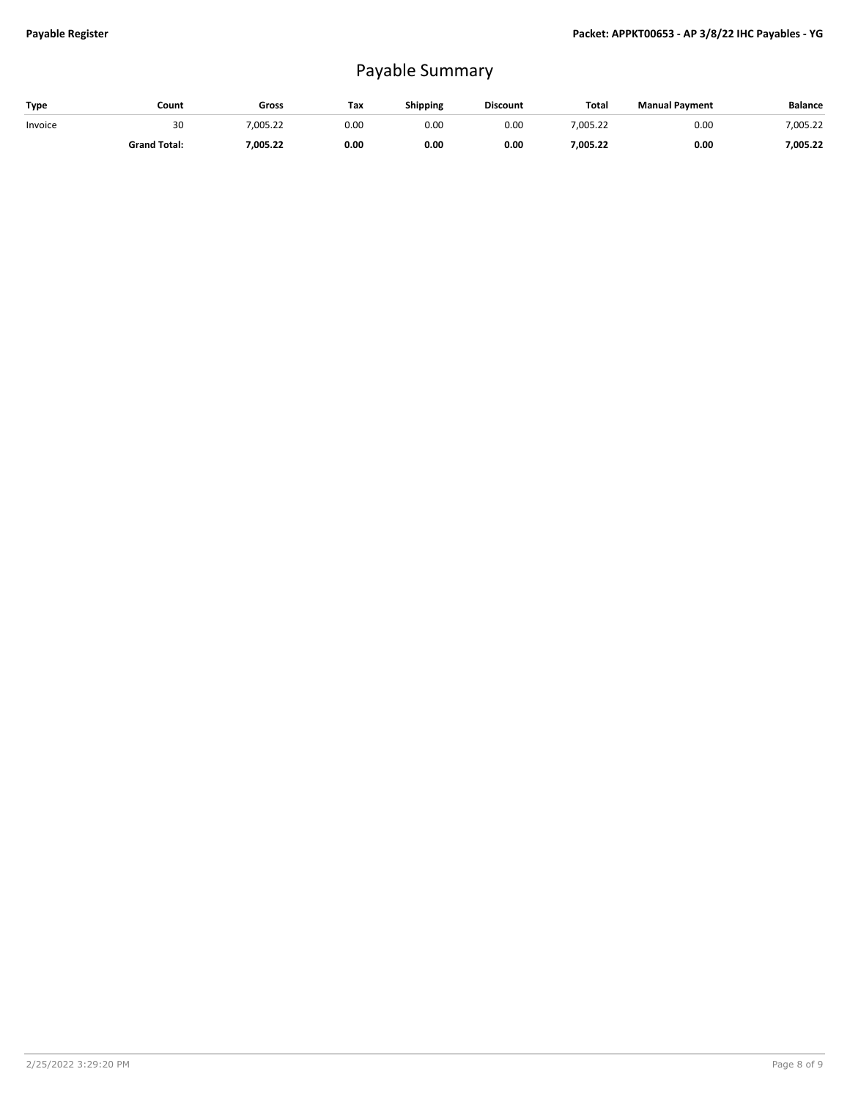## Payable Summary

| <b>Type</b> | Count               | Gross    | Tax  | Shipping | <b>Discount</b> | Total    | <b>Manual Payment</b> | <b>Balance</b> |
|-------------|---------------------|----------|------|----------|-----------------|----------|-----------------------|----------------|
| Invoice     | 30                  | .005.22  | 0.00 | 0.00     | 0.00            | 7,005.22 | 0.00                  | 7,005.22       |
|             | <b>Grand Total:</b> | 7,005.22 | 0.00 | 0.00     | 0.00            | ,005.22  | 0.00                  | 7,005.22       |